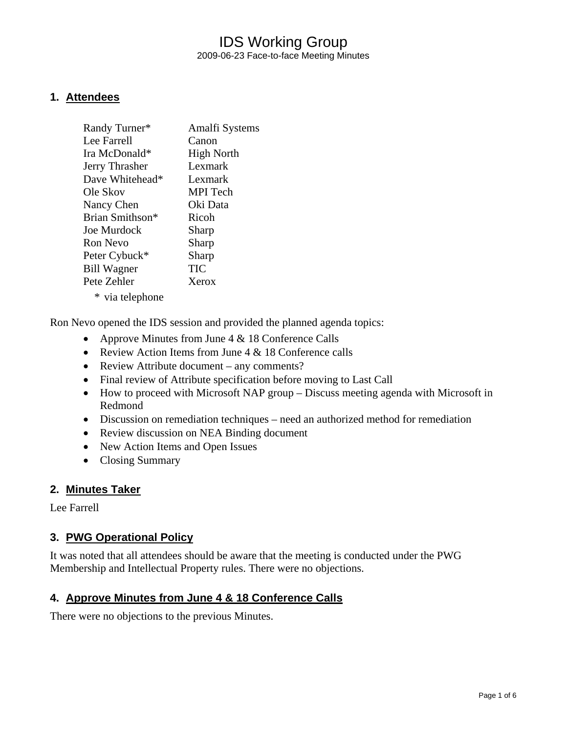## IDS Working Group 2009-06-23 Face-to-face Meeting Minutes

### **1. Attendees**

| Randy Turner*      | Amalfi Systems    |
|--------------------|-------------------|
| Lee Farrell        | Canon             |
| Ira McDonald*      | <b>High North</b> |
| Jerry Thrasher     | Lexmark           |
| Dave Whitehead*    | Lexmark           |
| Ole Skov           | MPI Tech          |
| Nancy Chen         | Oki Data          |
| Brian Smithson*    | Ricoh             |
| Joe Murdock        | Sharp             |
| Ron Nevo           | Sharp             |
| Peter Cybuck*      | Sharp             |
| <b>Bill Wagner</b> | TIC               |
| Pete Zehler        | Xerox             |
| * via telephone    |                   |

Ron Nevo opened the IDS session and provided the planned agenda topics:

- Approve Minutes from June  $4 \& 18$  Conference Calls
- Review Action Items from June 4 & 18 Conference calls
- Review Attribute document any comments?
- Final review of Attribute specification before moving to Last Call
- How to proceed with Microsoft NAP group Discuss meeting agenda with Microsoft in Redmond
- Discussion on remediation techniques need an authorized method for remediation
- Review discussion on NEA Binding document
- New Action Items and Open Issues
- Closing Summary

#### **2. Minutes Taker**

Lee Farrell

### **3. PWG Operational Policy**

It was noted that all attendees should be aware that the meeting is conducted under the PWG Membership and Intellectual Property rules. There were no objections.

#### **4. Approve Minutes from June 4 & 18 Conference Calls**

There were no objections to the previous Minutes.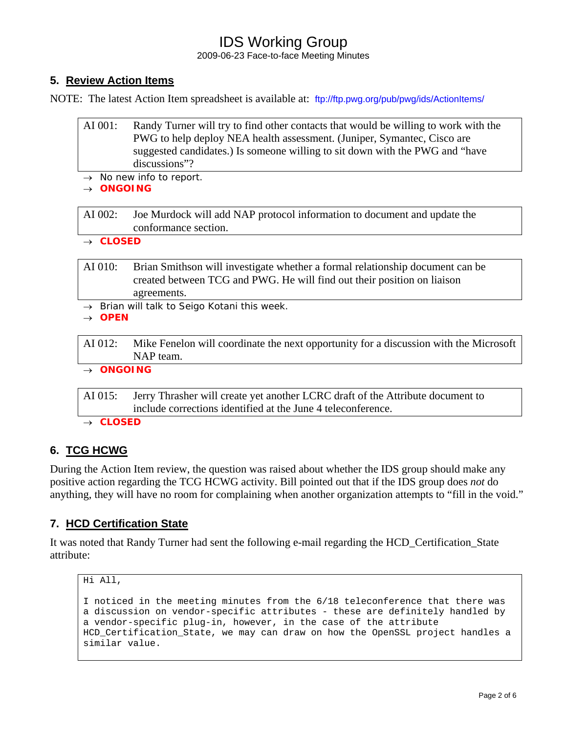2009-06-23 Face-to-face Meeting Minutes

## **5. Review Action Items**

NOTE: The latest Action Item spreadsheet is available at: <ftp://ftp.pwg.org/pub/pwg/ids/ActionItems/>

| AI 001:                                    | Randy Turner will try to find other contacts that would be willing to work with the<br>PWG to help deploy NEA health assessment. (Juniper, Symantec, Cisco are<br>suggested candidates.) Is someone willing to sit down with the PWG and "have<br>discussions"? |  |
|--------------------------------------------|-----------------------------------------------------------------------------------------------------------------------------------------------------------------------------------------------------------------------------------------------------------------|--|
| $\rightarrow$ No new info to report.       |                                                                                                                                                                                                                                                                 |  |
| <b>ONGOING</b>                             |                                                                                                                                                                                                                                                                 |  |
|                                            |                                                                                                                                                                                                                                                                 |  |
| AI 002:                                    | Joe Murdock will add NAP protocol information to document and update the<br>conformance section.                                                                                                                                                                |  |
| $\rightarrow$ CLOSED                       |                                                                                                                                                                                                                                                                 |  |
|                                            |                                                                                                                                                                                                                                                                 |  |
| AI 010:                                    | Brian Smithson will investigate whether a formal relationship document can be<br>created between TCG and PWG. He will find out their position on liaison<br>agreements.                                                                                         |  |
| Brian will talk to Seigo Kotani this week. |                                                                                                                                                                                                                                                                 |  |
| <b>OPEN</b>                                |                                                                                                                                                                                                                                                                 |  |
|                                            |                                                                                                                                                                                                                                                                 |  |
| AI 012:                                    | Mike Fenelon will coordinate the next opportunity for a discussion with the Microsoft<br>NAP team.                                                                                                                                                              |  |
| $\rightarrow$ ONGOING                      |                                                                                                                                                                                                                                                                 |  |
|                                            |                                                                                                                                                                                                                                                                 |  |
| AI 015:                                    | Jerry Thrasher will create yet another LCRC draft of the Attribute document to<br>include corrections identified at the June 4 teleconference.                                                                                                                  |  |
| <b>CLOSED</b>                              |                                                                                                                                                                                                                                                                 |  |
|                                            |                                                                                                                                                                                                                                                                 |  |
|                                            |                                                                                                                                                                                                                                                                 |  |

## **6. TCG HCWG**

During the Action Item review, the question was raised about whether the IDS group should make any positive action regarding the TCG HCWG activity. Bill pointed out that if the IDS group does *not* do anything, they will have no room for complaining when another organization attempts to "fill in the void."

## **7. HCD Certification State**

It was noted that Randy Turner had sent the following e-mail regarding the HCD\_Certification\_State attribute:

```
Hi All, 
I noticed in the meeting minutes from the 6/18 teleconference that there was 
a discussion on vendor-specific attributes - these are definitely handled by 
a vendor-specific plug-in, however, in the case of the attribute 
HCD Certification State, we may can draw on how the OpenSSL project handles a
similar value.
```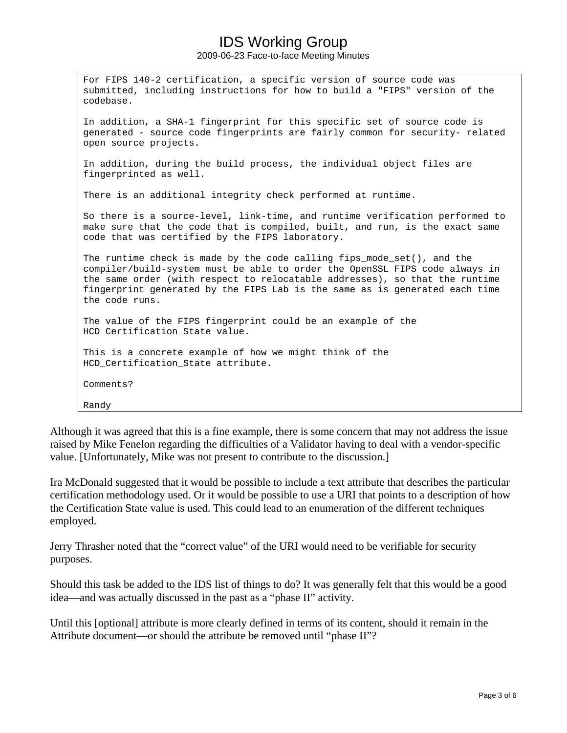2009-06-23 Face-to-face Meeting Minutes

For FIPS 140-2 certification, a specific version of source code was submitted, including instructions for how to build a "FIPS" version of the codebase. In addition, a SHA-1 fingerprint for this specific set of source code is generated - source code fingerprints are fairly common for security- related open source projects. In addition, during the build process, the individual object files are fingerprinted as well. There is an additional integrity check performed at runtime. So there is a source-level, link-time, and runtime verification performed to make sure that the code that is compiled, built, and run, is the exact same code that was certified by the FIPS laboratory. The runtime check is made by the code calling fips\_mode\_set(), and the compiler/build-system must be able to order the OpenSSL FIPS code always in the same order (with respect to relocatable addresses), so that the runtime fingerprint generated by the FIPS Lab is the same as is generated each time the code runs. The value of the FIPS fingerprint could be an example of the HCD\_Certification\_State value. This is a concrete example of how we might think of the HCD Certification State attribute. Comments? Randy

Although it was agreed that this is a fine example, there is some concern that may not address the issue raised by Mike Fenelon regarding the difficulties of a Validator having to deal with a vendor-specific value. [Unfortunately, Mike was not present to contribute to the discussion.]

Ira McDonald suggested that it would be possible to include a text attribute that describes the particular certification methodology used. Or it would be possible to use a URI that points to a description of how the Certification State value is used. This could lead to an enumeration of the different techniques employed.

Jerry Thrasher noted that the "correct value" of the URI would need to be verifiable for security purposes.

Should this task be added to the IDS list of things to do? It was generally felt that this would be a good idea—and was actually discussed in the past as a "phase II" activity.

Until this [optional] attribute is more clearly defined in terms of its content, should it remain in the Attribute document—or should the attribute be removed until "phase II"?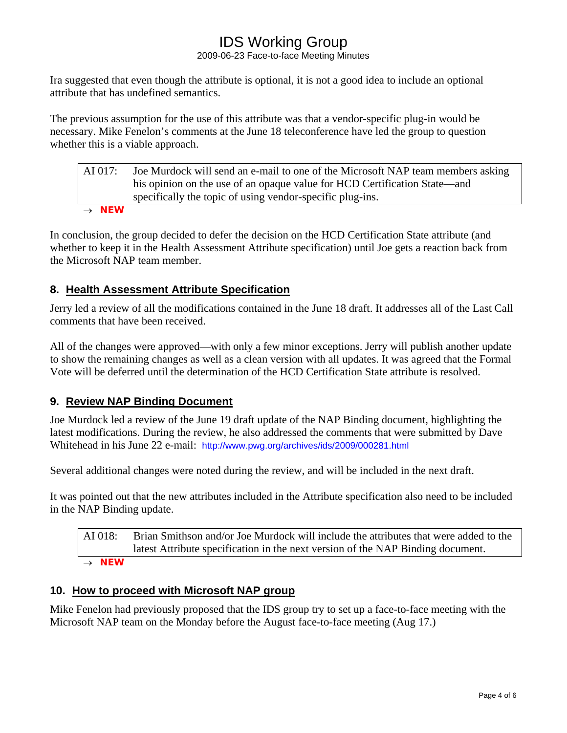2009-06-23 Face-to-face Meeting Minutes

Ira suggested that even though the attribute is optional, it is not a good idea to include an optional attribute that has undefined semantics.

The previous assumption for the use of this attribute was that a vendor-specific plug-in would be necessary. Mike Fenelon's comments at the June 18 teleconference have led the group to question whether this is a viable approach.

| AI 017:           | Joe Murdock will send an e-mail to one of the Microsoft NAP team members asking<br>his opinion on the use of an opaque value for HCD Certification State—and<br>specifically the topic of using vendor-specific plug-ins. |
|-------------------|---------------------------------------------------------------------------------------------------------------------------------------------------------------------------------------------------------------------------|
| $\rightarrow$ NEW |                                                                                                                                                                                                                           |

In conclusion, the group decided to defer the decision on the HCD Certification State attribute (and whether to keep it in the Health Assessment Attribute specification) until Joe gets a reaction back from the Microsoft NAP team member.

## **8. Health Assessment Attribute Specification**

Jerry led a review of all the modifications contained in the June 18 draft. It addresses all of the Last Call comments that have been received.

All of the changes were approved—with only a few minor exceptions. Jerry will publish another update to show the remaining changes as well as a clean version with all updates. It was agreed that the Formal Vote will be deferred until the determination of the HCD Certification State attribute is resolved.

## **9. Review NAP Binding Document**

Joe Murdock led a review of the June 19 draft update of the NAP Binding document, highlighting the latest modifications. During the review, he also addressed the comments that were submitted by Dave Whitehead in his June 22 e-mail: <http://www.pwg.org/archives/ids/2009/000281.html>

Several additional changes were noted during the review, and will be included in the next draft.

It was pointed out that the new attributes included in the Attribute specification also need to be included in the NAP Binding update.

AI 018: Brian Smithson and/or Joe Murdock will include the attributes that were added to the latest Attribute specification in the next version of the NAP Binding document. → *NEW* 

## **10. How to proceed with Microsoft NAP group**

Mike Fenelon had previously proposed that the IDS group try to set up a face-to-face meeting with the Microsoft NAP team on the Monday before the August face-to-face meeting (Aug 17.)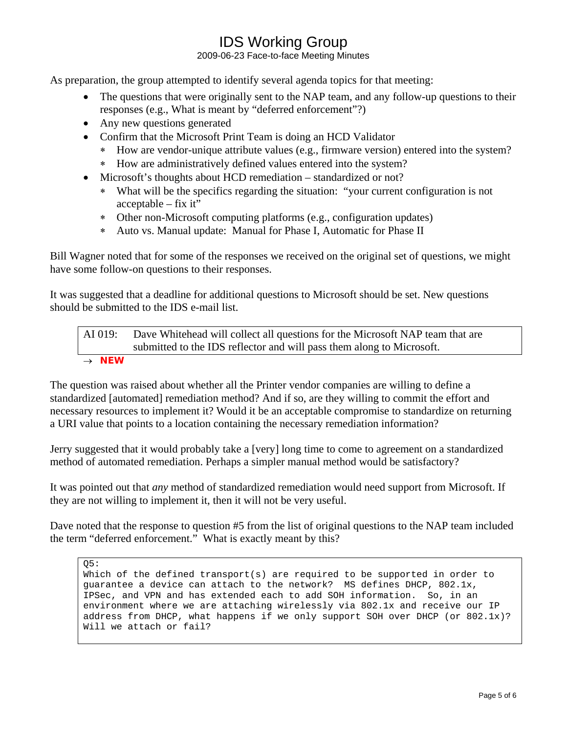2009-06-23 Face-to-face Meeting Minutes

As preparation, the group attempted to identify several agenda topics for that meeting:

- The questions that were originally sent to the NAP team, and any follow-up questions to their responses (e.g., What is meant by "deferred enforcement"?)
- Any new questions generated
- Confirm that the Microsoft Print Team is doing an HCD Validator
	- ∗ How are vendor-unique attribute values (e.g., firmware version) entered into the system?
	- ∗ How are administratively defined values entered into the system?
- Microsoft's thoughts about HCD remediation standardized or not?
	- ∗ What will be the specifics regarding the situation: "your current configuration is not acceptable – fix it"
	- ∗ Other non-Microsoft computing platforms (e.g., configuration updates)
	- ∗ Auto vs. Manual update: Manual for Phase I, Automatic for Phase II

Bill Wagner noted that for some of the responses we received on the original set of questions, we might have some follow-on questions to their responses.

It was suggested that a deadline for additional questions to Microsoft should be set. New questions should be submitted to the IDS e-mail list.

### AI 019: Dave Whitehead will collect all questions for the Microsoft NAP team that are submitted to the IDS reflector and will pass them along to Microsoft. → *NEW*

The question was raised about whether all the Printer vendor companies are willing to define a standardized [automated] remediation method? And if so, are they willing to commit the effort and necessary resources to implement it? Would it be an acceptable compromise to standardize on returning a URI value that points to a location containing the necessary remediation information?

Jerry suggested that it would probably take a [very] long time to come to agreement on a standardized method of automated remediation. Perhaps a simpler manual method would be satisfactory?

It was pointed out that *any* method of standardized remediation would need support from Microsoft. If they are not willing to implement it, then it will not be very useful.

Dave noted that the response to question #5 from the list of original questions to the NAP team included the term "deferred enforcement." What is exactly meant by this?

Q5:

Which of the defined transport(s) are required to be supported in order to guarantee a device can attach to the network? MS defines DHCP, 802.1x, IPSec, and VPN and has extended each to add SOH information. So, in an environment where we are attaching wirelessly via 802.1x and receive our IP address from DHCP, what happens if we only support SOH over DHCP (or 802.1x)? Will we attach or fail?